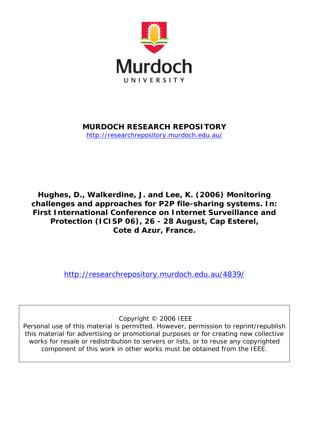

# **MURDOCH RESEARCH REPOSITORY**

<http://researchrepository.murdoch.edu.au/>

**Hughes, D., Walkerdine, J. and Lee, K. (2006)** *Monitoring challenges and approaches for P2P file-sharing systems.* **In: First International Conference on Internet Surveillance and Protection (ICISP 06), 26 - 28 August, Cap Esterel, Cote d Azur, France.**

<http://researchrepository.murdoch.edu.au/4839/>

Copyright © 2006 IEEE

Personal use of this material is permitted. However, permission to reprint/republish this material for advertising or promotional purposes or for creating new collective works for resale or redistribution to servers or lists, or to reuse any copyrighted component of this work in other works must be obtained from the IEEE.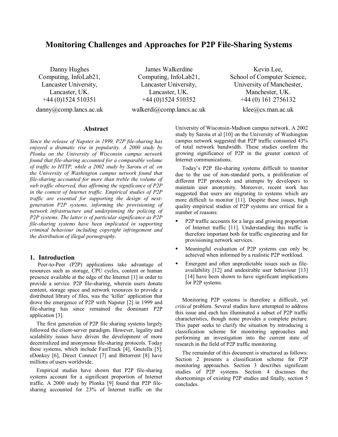# **Monitoring Challenges and Approaches for P2P File-Sharing Systems**

Danny Hughes Computing, InfoLab21, Lancaster University, Lancaster, UK. +44 (0)1524 510351

danny@comp.lancs.ac.uk

James Walkerdine Computing, InfoLab21, Lancaster University, Lancaster, UK. +44 (0)1524 510352

walkerdi@comp.lancs.ac.uk

Kevin Lee, School of Computer Science, University of Manchester, Manchester, UK. +44 (0) 161 2756132 klee@cs.man.ac.uk

# **Abstract**

*Since the release of Napster in 1999, P2P file-sharing has enjoyed a dramatic rise in popularity. A 2000 study by Plonka on the University of Wisconsin campus network found that file-sharing accounted for a comparable volume of traffic to HTTP, while a 2002 study by Saroiu et al. on the University of Washington campus network found that file-sharing accounted for more than treble the volume of web traffic observed, thus affirming the significance of P2P in the context of Internet traffic. Empirical studies of P2P traffic are essential for supporting the design of nextgeneration P2P systems, informing the provisioning of network infrastructure and underpinning the policing of P2P systems. The latter is of particular significance as P2P file-sharing systems have been implicated in supporting criminal behaviour including copyright infringement and the distribution of illegal pornography.* 

#### **1. Introduction**

Peer-to-Peer (P2P) applications take advantage of resources such as storage, CPU cycles, content or human presence available at the edge of the Internet [1] in order to provide a service. P2P file-sharing, wherein users donate content, storage space and network resources to provide a distributed library of files, was the 'killer' application that drove the emergence of P2P with Napster [2] in 1999 and file-sharing has since remained the dominant P2P application [3].

 The first generation of P2P file sharing systems largely followed the client-server paradigm. However, legality and scalability issues have driven the development of more decentralized and anonymous file-sharing protocols. Today these systems, which include FastTrack [4], Gnutella [5], eDonkey [6], Direct Connect [7] and Bittorrent [8] have millions of users worldwide.

 Empirical studies have shown that P2P file-sharing systems account for a significant proportion of Internet traffic. A 2000 study by Plonka [9] found that P2P filesharing accounted for 23% of Internet traffic on the

University of Wisconsin-Madison campus network. A 2002 study by Saroiu et al [10] on the University of Washington campus network suggested that P2P traffic consumed 43% of total network bandwidth. These studies confirm the growing significance of P2P in the greater context of Internet communications.

 Today's P2P file-sharing systems difficult to monitor due to the use of non-standard ports, a proliferation of different P2P protocols and attempts by developers to maintain user anonymity. Moreover, recent work has suggested that users are migrating to systems which are more difficult to monitor [11]. Despite these issues, high quality empirical studies of P2P systems are critical for a number of reasons:

- P2P traffic accounts for a large and growing proportion of Internet traffic [11]. Understanding this traffic is therefore important both for traffic engineering and for provisioning network services.
- **Meaningful evaluation of P2P systems can only be** achieved when informed by a realistic P2P workload.
- Emergent and often unpredictable issues such as fileavailability [12] and undesirable user behaviour [13] [14] have been shown to have significant implications for P2P systems.

 Monitoring P2P systems is therefore a difficult, yet *critical* problem. Several studies have attempted to address this issue and each has illuminated a subset of P2P traffic characteristics, though none provides a complete picture. This paper seeks to clarify the situation by introducing a classification scheme for monitoring approaches and performing an investigation into the current state of research in the field of P2P traffic monitoring.

 The remainder of this document is structured as follows: Section 2 presents a classification scheme for P2P monitoring approaches. Section 3 describes significant studies of P2P systems. Section 4 discusses the shortcomings of existing P2P studies and finally, section 5 concludes.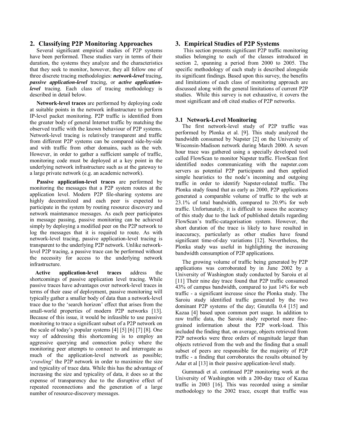# **2. Classifying P2P Monitoring Approaches**

 Several significant empirical studies of P2P systems have been performed. These studies vary in terms of their duration, the systems they analyze and the characteristics that they seek to monitor, however, they all follow one of three discrete tracing methodologies: *network-level* tracing, *passive application-level* tracing, or *active applicationlevel* tracing. Each class of tracing methodology is described in detail below.

 **Network-level traces** are performed by deploying code at suitable points in the network infrastructure to perform IP-level packet monitoring. P2P traffic is identified from the greater body of general Internet traffic by matching the observed traffic with the known behaviour of P2P systems. Network-level tracing is relatively transparent and traffic from different P2P systems can be compared side-by-side and with traffic from other domains, such as the web. However, in order to gather a sufficient sample of traffic, monitoring code must be deployed at a key point in the underlying network infrastructure such as at the gateway to a large private network (e.g. an academic network).

 **Passive application-level traces** are performed by monitoring the messages that a P2P system routes at the application level. Modern P2P file-sharing systems are highly decentralized and each peer is expected to participate in the system by routing resource discovery and network maintenance messages. As each peer participates in message passing, passive monitoring can be achieved simply by deploying a modified peer on the P2P network to log the messages that it is required to route. As with network-level tracing, passive application-level tracing is transparent to the underlying P2P network. Unlike networklevel P2P tracing, a passive trace can be performed without the necessity for access to the underlying network infrastructure.

 **Active application-level traces** address the shortcomings of passive application level tracing. While passive traces have advantages over network-level traces in terms of their ease of deployment, passive monitoring will typically gather a smaller body of data than a network-level trace due to the 'search horizon' effect that arises from the small-world properties of modern P2P networks [13]. Because of this issue, it would be infeasible to use passive monitoring to trace a significant subset of a P2P network on the scale of today's popular systems [4] [5] [6] [7] [8]. One way of addressing this shortcoming is to employ an aggressive querying and connection policy where the monitoring peer attempts to connect to and interrogate as much of the application-level network as possible; '*crawling*' the P2P network in order to maximize the size and typicality of trace data. While this has the advantage of increasing the size and typicality of data, it does so at the expense of transparency due to the disruptive effect of repeated reconnections and the generation of a large number of resource-discovery messages.

### **3. Empirical Studies of P2P Systems**

 This section presents significant P2P traffic monitoring studies belonging to each of the classes introduced in section 2, spanning a period from 2000 to 2005. The specific methodology of each study is described alongside its significant findings. Based upon this survey, the benefits and limitations of each class of monitoring approach are discussed along with the general limitations of current P2P studies. While this survey is not exhaustive, it covers the most significant and oft cited studies of P2P networks.

#### **3.1 Network-Level Monitoring**

 The first network-level study of P2P traffic was performed by Plonka et al. [9]. This study analyzed the bandwidth consumed by Napster [2] on the University of Wisconsin-Madison network during March 2000. A seven hour trace was gathered using a specially developed tool called FlowScan to monitor Napster traffic. FlowScan first identified nodes communicating with the napster.com servers as potential P2P participants and then applied simple heuristics to the node's incoming and outgoing traffic in order to identify Napster-related traffic. The Plonka study found that as early as 2000, P2P applications generated a comparable volume of traffic to the web at 23.1% of total bandwidth, compared to 20.9% for web traffic. Unfortunately, it is difficult to assess the accuracy of this study due to the lack of published details regarding FlowScan's traffic-catagorisation system. However, the short duration of the trace is likely to have resulted in inaccuracy, particularly as other studies have found significant time-of-day variations [12]. Nevertheless, the Plonka study was useful in highlighting the increasing bandwidth consumption of P2P applications.

 The growing volume of traffic being generated by P2P applications was corroborated by in June 2002 by a University of Washington study conducted by Saroiu et al [11] Their nine day trace found that P2P traffic consumed 43% of campus bandwidth, compared to just 14% for web traffic - a significant increase since the Plonka study. The Saroiu study identified traffic generated by the two dominant P2P systems of the day; Gnutella 0.4 [15] and Kazaa [4] based upon common port usage. In addition to raw traffic data, the Saroiu study reported more finegrained information about the P2P work-load. This included the finding that, on average, objects retrieved from P2P networks were three orders of magnitude larger than objects retrieved from the web and the finding that a small subset of peers are responsible for the majority of P2P traffic - a finding that corroborates the results obtained by Adar et al [13] in their passive application-level study.

 Gummadi et al. continued P2P monitoring work at the University of Washington with a 200-day trace of Kazaa traffic in 2003 [16]. This was recorded using a similar methodology to the 2002 trace, except that traffic was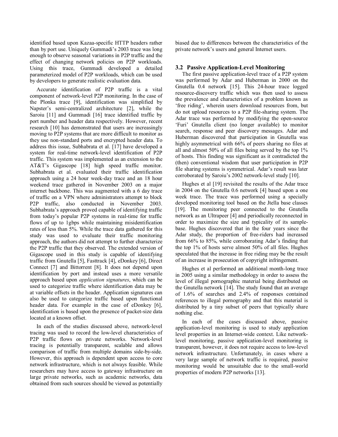identified based upon Kazaa-specific HTTP headers rather than by port use. Uniquely Gummadi's 2003 trace was long enough to observe seasonal variations in P2P traffic and the effect of changing network policies on P2P workloads. Using this trace, Gummadi developed a detailed parameterized model of P2P workloads, which can be used by developers to generate realistic evaluation data.

 Accurate identification of P2P traffic is a vital component of network-level P2P monitoring. In the case of the Plonka trace [9], identification was simplified by Napster's semi-centralized architecture [2], while the Saroiu [11] and Gummadi [16] trace identified traffic by port number and header data respectively. However, recent research [10] has demonstrated that users are increasingly moving to P2P systems that are more difficult to monitor as they use non-standard ports and encrypted header data. To address this issue, Subhabrata et al. [17] have developed a system for real-time network-level identification of P2P traffic. This system was implemented as an extension to the AT&T's Gigascope [18] high speed traffic monitor. Subhabrata et al. evaluated their traffic identification approach using a 24 hour week-day trace and an 18 hour weekend trace gathered in November 2003 on a major internet backbone. This was augmented with a 6 day trace of traffic on a VPN where administrators attempt to block P2P traffic, also conducted in November 2003. Subhabrata's approach proved capable of identifying traffic from today's popular P2P systems in real-time for traffic flows of up to 1gbps while maintaining misidentification rates of less than 5%. While the trace data gathered for this study was used to evaluate their traffic monitoring approach, the authors did not attempt to further characterize the P2P traffic that they observed. The extended version of Gigascope used in this study is capable of identifying traffic from Gnutella [5], Fasttrack [4], eDonkey [6], Direct Connect [7] and Bittorrent [8]. It does not depend upon identification by port and instead uses a more versatile approach based upon *application signatures*, which can be used to categorize traffic where identification data may be at variable offsets in the header. Application signatures can also be used to categorize traffic based upon functional header data. For example in the case of eDonkey [6], identification is based upon the presence of packet-size data located at a known offset.

 In each of the studies discussed above, network-level tracing was used to record the low-level characteristics of P2P traffic flows on private networks. Network-level tracing is potentially transparent, scalable and allows comparison of traffic from multiple domains side-by-side. However, this approach is dependent upon access to core network infrastructure, which is not always feasible. While researchers may have access to gateway infrastructure on large private networks, such as academic networks, data obtained from such sources should be viewed as potentially

biased due to differences between the characteristics of the private network's users and general Internet users.

# **3.2 Passive Application-Level Monitoring**

 The first passive application-level trace of a P2P system was performed by Adar and Huberman in 2000 on the Gnutella 0.4 network [15]. This 24-hour trace logged resource-discovery traffic which was then used to assess the prevalence and characteristics of a problem known as 'free riding', wherein users download resources from, but do not upload resources to a P2P file-sharing system. The Adar trace was performed by modifying the open-source 'Furi' Gnutella client (no longer available) to monitor search, response and peer discovery messages. Adar and Huberman discovered that participation in Gnutella was highly asymmetrical with 66% of peers sharing no files at all and almost  $50\%$  of all files being served by the top  $1\%$ of hosts. This finding was significant as it contradicted the (then) conventional wisdom that user participation in P2P file sharing systems is symmetrical. Adar's result was later corroborated by Saroiu's 2002 network-level study [10].

 Hughes et al [19] revisited the results of the Adar trace in 2004 on the Gnutella 0.6 network [4] based upon a one week trace. The trace was performed using a specially developed monitoring tool based on the Jtella base classes [19]. The monitoring peer connected to the Gnutella network as an Ultrapeer [4] and periodically reconnected in order to maximize the size and typicality of its samplebase. Hughes discovered that in the four years since the Adar study, the proportion of free-riders had increased from 66% to 85%, while corroborating Adar's finding that the top 1% of hosts serve almost 50% of all files. Hughes speculated that the increase in free riding may be the result of an increase in prosecution of copyright infringement.

 Hughes et al performed an additional month-long trace in 2005 using a similar methodology in order to assess the level of illegal pornographic material being distributed on the Gnutella network [14]. The study found that an average of 1.6% of searches and 2.4% of responses contained references to illegal pornography and that this material is distributed by a tiny subset of peers that typically share nothing else.

 In each of the cases discussed above, passive application-level monitoring is used to study application level properties in an Internet-wide context. Like networklevel monitoring, passive application-level monitoring is transparent, however, it does not require access to low-level network infrastructure. Unfortunately, in cases where a very large sample of network traffic is required, passive monitoring would be unsuitable due to the small-world properties of modern P2P networks [13].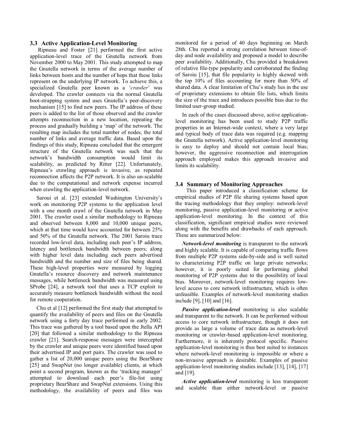#### **3.3 Active Application-Level Monitoring**

 Ripneau and Foster [21] performed the first active application-level trace of the Gnutella network from November 2000 to May 2001. This study attempted to map the Gnutella network in terms of the average number of links between hosts and the number of hops that these links represent on the underlying IP network. To achieve this, a specialized Gnutella peer known as a '*crawler*' was developed. The crawler connects via the normal Gnutella boot-strapping system and uses Gnutella's peer-discovery mechanism [15] to find new peers. The IP address of these peers is added to the list of those observed and the crawler attempts reconnection in a new location, repeating the process and gradually building a 'map' of the network. The resulting map includes the total number of nodes, the total number of links and average traffic data. Based upon the findings of this study, Ripneau concluded that the emergent structure of the Gnutella network was such that the network's bandwidth consumption would limit its scalability, as predicted by Ritter [22]. Unfortunately, Ripneau's crawling approach is invasive, as repeated reconnection affects the P2P network. It is also un-scalable due to the computational and network expense incurred when crawling the application-level network.

 Saroui et al. [23] extended Washington University's work on monitoring P2P systems to the application level with a one month crawl of the Gnutella network in May 2001. The crawler used a similar methodology to Ripneau and observed between 8,000 and 10,000 unique peers, which at that time would have accounted for between 25% and 50% of the Gnutella network. The 2001 Saroiu trace recorded low-level data, including each peer's IP address, latency and bottleneck bandwidth between peers; along with higher level data including each peers advertised bandwidth and the number and size of files being shared. These high-level properties were measured by logging Gnutella's resource discovery and network maintenance messages, while bottleneck bandwidth was measured using SProbe [24], a network tool that uses a TCP exploit to accurately measure bottleneck bandwidth without the need for remote cooperation.

 Chu et al [12] performed the first study that attempted to quantify the availability of peers and files on the Gnutella network using a forty day trace performed in early 2002. This trace was gathered by a tool based upon the Jtella API [20] that followed a similar methodology to the Ripneau crawler [21]. Search-response messages were intercepted by the crawler and unique peers were identified based upon their advertised IP and port pairs. The crawler was used to gather a list of 20,000 unique peers using the BearShare [25] and SwapNut (no longer available) clients, at which point a second program, known as the 'tracking manager' attempted to download each peer's file-list using proprietary BearShare and SwapNut extensions. Using this methodology, the availability of peers and files was

monitored for a period of 40 days beginning on March 28th. Chu reported a strong correlation between time-ofday and node availability and proposed a model to describe peer availability. Additionally, Chu provided a breakdown of relative file-type popularity and corroborated the finding of Saroiu [15], that file popularity is highly skewed with the top 10% of files accounting for more than 50% of shared data. A clear limitation of Chu's study lies in the use of proprietary extensions to obtain file lists, which limits the size of the trace and introduces possible bias due to the limited user-group studied.

 In each of the cases discussed above, active applicationlevel monitoring has been used to study P2P traffic properties in an Internet-wide context, where a very large and typical body of trace data was required (e.g. mapping the Gnutella network). Active application-level monitoring is easy to deploy and should not contain local bias; however, the aggressive reconnection and interrogation approach employed makes this approach invasive and limits its scalability.

#### **3.4 Summary of Monitoring Approaches**

 This paper introduced a classification scheme for empirical studies of P2P file sharing systems based upon the tracing methodology that they employ: network-level monitoring, passive application-level monitoring or active application-level monitoring. In the context of this classification, significant empirical studies were reviewed along with the benefits and drawbacks of each approach. These are summarized below:

 *Network-level monitoring* is transparent to the network and highly scalable. It is capable of comparing traffic flows from multiple P2P systems side-by-side and is well suited to characterizing P2P traffic on large private networks; however, it is poorly suited for performing global monitoring of P2P systems due to the possibility of local bias. Moreover, network-level monitoring requires lowlevel access to core network infrastructure, which is often unfeasible. Examples of network-level monitoring studies include [9], [10] and [16].

 *Passive application-level* monitoring is also scalable and transparent to the network. It can be performed without access to core network infrastructure, though it does not provide as large a volume of trace data as network-level monitoring or crawler-based application-level monitoring. Furthermore, it is inherently protocol specific. Passive application-level monitoring is thus best suited to instances where network-level monitoring is impossible or where a non-invasive approach is desirable. Examples of passive application-level monitoring studies include [13], [14], [17] and [19].

 *Active application-level* monitoring is less transparent and scalable than either network-level or passive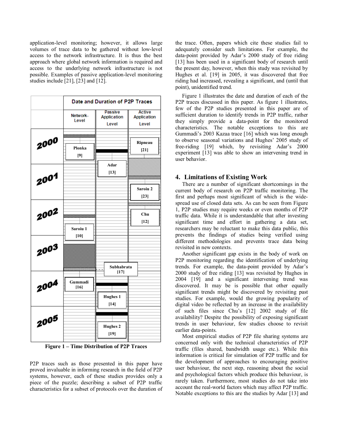application-level monitoring; however, it allows large volumes of trace data to be gathered without low-level access to the network infrastructure. It is thus the best approach where global network information is required and access to the underlying network infrastructure is not possible. Examples of passive application-level monitoring studies include [21], [23] and [12].



**Figure 1 – Time Distribution of P2P Traces**

P2P traces such as those presented in this paper have proved invaluable in informing research in the field of P2P systems, however, each of these studies provides only a piece of the puzzle; describing a subset of P2P traffic characteristics for a subset of protocols over the duration of the trace. Often, papers which cite these studies fail to adequately consider such limitations. For example, the data-point provided by Adar's 2000 study of free riding [13] has been used in a significant body of research until the present day, however, when this study was revisited by Hughes et al. [19] in 2005, it was discovered that free riding had increased, revealing a significant, and (until that point), unidentified trend.

 Figure 1 illustrates the date and duration of each of the P2P traces discussed in this paper. As figure 1 illustrates, few of the P2P studies presented in this paper are of sufficient duration to identify trends in P2P traffic, rather they simply provide a data-point for the monitored characteristics. The notable exceptions to this are Gummadi's 2003 Kazaa trace [16] which was long enough to observe seasonal variations and Hughes' 2005 study of free-riding [19] which, by revisiting Adar's 2000 experiment [13] was able to show an intervening trend in user behavior.

# **4. Limitations of Existing Work**

 There are a number of significant shortcomings in the current body of research on P2P traffic monitoring. The first and perhaps most significant of which is the widespread use of closed data sets. As can be seen from Figure 1, P2P studies may require weeks or even months of P2P traffic data. While it is understandable that after investing significant time and effort in gathering a data set, researchers may be reluctant to make this data public, this prevents the findings of studies being verified using different methodologies and prevents trace data being revisited in new contexts.

 Another significant gap exists in the body of work on P2P monitoring regarding the identification of underlying trends. For example, the data-point provided by Adar's 2000 study of free riding [13] was revisited by Hughes in 2004 [19] and a significant intervening trend was discovered. It may be is possible that other equally significant trends might be discovered by revisiting past studies. For example, would the growing popularity of digital video be reflected by an increase in the availability of such files since Chu's [12] 2002 study of file availability? Despite the possibility of exposing significant trends in user behaviour, few studies choose to revisit earlier data-points.

 Most empirical studies of P2P file sharing systems are concerned only with the technical characteristics of P2P traffic (files shared, bandwidth usage etc.). While this information is critical for simulation of P2P traffic and for the development of approaches to encouraging positive user behaviour, the next step, reasoning about the social and psychological factors which produce this behaviour, is rarely taken. Furthermore, most studies do not take into account the real-world factors which may affect P2P traffic. Notable exceptions to this are the studies by Adar [13] and